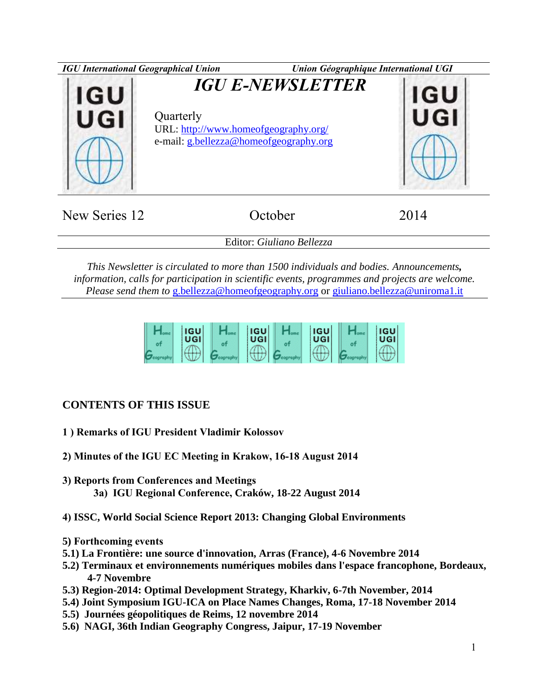

| New Series 12 | October                   | 2014 |
|---------------|---------------------------|------|
|               | Editor: Giuliano Bellezza |      |

*This Newsletter is circulated to more than 1500 individuals and bodies. Announcements, information, calls for participation in scientific events, programmes and projects are welcome. Please send them to* [g.bellezza@homeofgeography.org](mailto:g.bellezza@homeofgeography.org) or [giuliano.bellezza@uniroma1.it](mailto:giuliano.bellezza@uniroma1.it)

| <b>IGU</b><br>UGI | <b>IGU</b><br>UGI | <b>IGU</b><br>UGI | <b>IGU</b><br>UGI |
|-------------------|-------------------|-------------------|-------------------|
| ____              |                   |                   |                   |

# **CONTENTS OF THIS ISSUE**

- **1 ) Remarks of IGU President Vladimir Kolossov**
- **2) Minutes of the IGU EC Meeting in Krakow, 16-18 August 2014**
- **3) Reports from Conferences and Meetings 3a) IGU Regional Conference, Craków, 18-22 August 2014**
- **4) ISSC, World Social Science Report 2013: Changing Global Environments**
- **5) Forthcoming events**
- **5.1) La Frontière: une source d'innovation, Arras (France), 4-6 Novembre 2014**
- **5.2) Terminaux et environnements numériques mobiles dans l'espace francophone, Bordeaux, 4-7 Novembre**
- **5.3) Region-2014: Optimal Development Strategy, Kharkiv, 6-7th November, 2014**
- **5.4) Joint Symposium IGU-ICA on Place Names Changes, Roma, 17-18 November 2014**
- **5.5) Journées géopolitiques de Reims, 12 novembre 2014**
- **5.6) NAGI, 36th Indian Geography Congress, Jaipur, 17-19 November**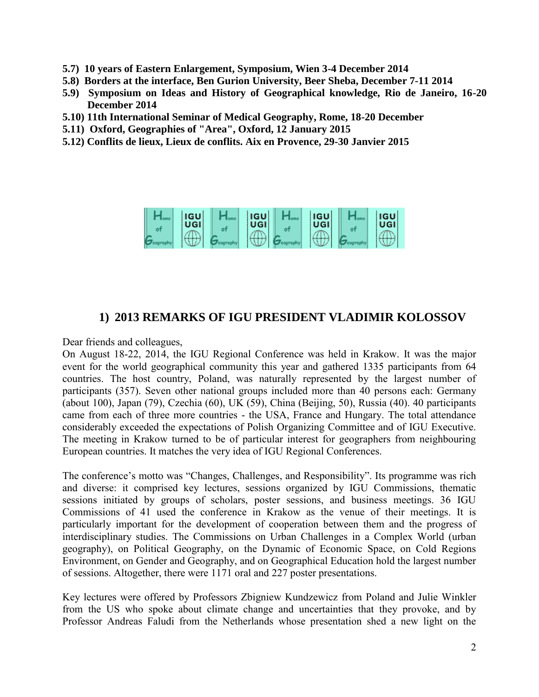- **5.7) 10 years of Eastern Enlargement, Symposium, Wien 3-4 December 2014**
- **5.8) Borders at the interface, Ben Gurion University, Beer Sheba, December 7-11 2014**
- **5.9) Symposium on Ideas and History of Geographical knowledge, Rio de Janeiro, 16-20 December 2014**
- **5.10) 11th International Seminar of Medical Geography, Rome, 18-20 December**
- **5.11) Oxford, Geographies of "Area", Oxford, 12 January 2015**
- **5.12) Conflits de lieux, Lieux de conflits. Aix en Provence, 29-30 Janvier 2015**



# **1) 2013 REMARKS OF IGU PRESIDENT VLADIMIR KOLOSSOV**

Dear friends and colleagues,

On August 18-22, 2014, the IGU Regional Conference was held in Krakow. It was the major event for the world geographical community this year and gathered 1335 participants from 64 countries. The host country, Poland, was naturally represented by the largest number of participants (357). Seven other national groups included more than 40 persons each: Germany (about 100), Japan (79), Czechia (60), UK (59), China (Beijing, 50), Russia (40). 40 participants came from each of three more countries - the USA, France and Hungary. The total attendance considerably exceeded the expectations of Polish Organizing Committee and of IGU Executive. The meeting in Krakow turned to be of particular interest for geographers from neighbouring European countries. It matches the very idea of IGU Regional Conferences.

The conference's motto was "Changes, Challenges, and Responsibility". Its programme was rich and diverse: it comprised key lectures, sessions organized by IGU Commissions, thematic sessions initiated by groups of scholars, poster sessions, and business meetings. 36 IGU Commissions of 41 used the conference in Krakow as the venue of their meetings. It is particularly important for the development of cooperation between them and the progress of interdisciplinary studies. The Commissions on Urban Challenges in a Complex World (urban geography), on Political Geography, on the Dynamic of Economic Space, on Cold Regions Environment, on Gender and Geography, and on Geographical Education hold the largest number of sessions. Altogether, there were 1171 oral and 227 poster presentations.

Key lectures were offered by Professors Zbigniew Kundzewicz from Poland and Julie Winkler from the US who spoke about climate change and uncertainties that they provoke, and by Professor Andreas Faludi from the Netherlands whose presentation shed a new light on the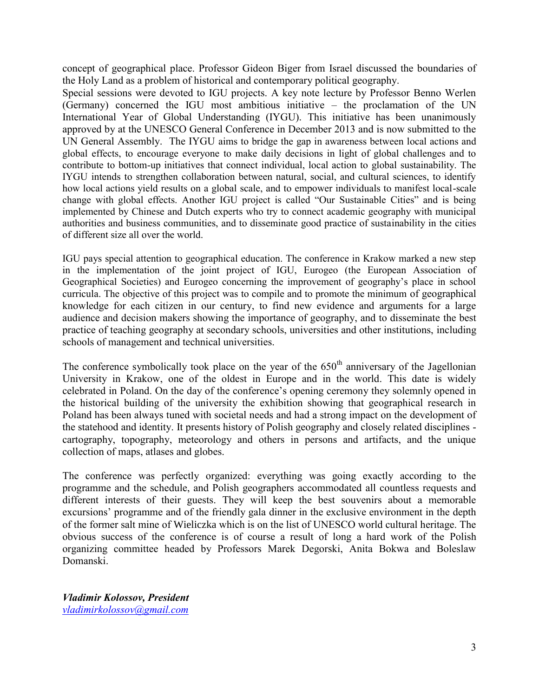concept of geographical place. Professor Gideon Biger from Israel discussed the boundaries of the Holy Land as a problem of historical and contemporary political geography.

Special sessions were devoted to IGU projects. A key note lecture by Professor Benno Werlen (Germany) concerned the IGU most ambitious initiative – the proclamation of the UN International Year of Global Understanding (IYGU). This initiative has been unanimously approved by at the UNESCO General Conference in December 2013 and is now submitted to the UN General Assembly. The IYGU aims to bridge the gap in awareness between local actions and global effects, to encourage everyone to make daily decisions in light of global challenges and to contribute to bottom-up initiatives that connect individual, local action to global sustainability. The IYGU intends to strengthen collaboration between natural, social, and cultural sciences, to identify how local actions yield results on a global scale, and to empower individuals to manifest local-scale change with global effects. Another IGU project is called "Our Sustainable Cities" and is being implemented by Chinese and Dutch experts who try to connect academic geography with municipal authorities and business communities, and to disseminate good practice of sustainability in the cities of different size all over the world.

IGU pays special attention to geographical education. The conference in Krakow marked a new step in the implementation of the joint project of IGU, Eurogeo (the European Association of Geographical Societies) and Eurogeo concerning the improvement of geography's place in school curricula. The objective of this project was to compile and to promote the minimum of geographical knowledge for each citizen in our century, to find new evidence and arguments for a large audience and decision makers showing the importance of geography, and to disseminate the best practice of teaching geography at secondary schools, universities and other institutions, including schools of management and technical universities.

The conference symbolically took place on the year of the  $650<sup>th</sup>$  anniversary of the Jagellonian University in Krakow, one of the oldest in Europe and in the world. This date is widely celebrated in Poland. On the day of the conference's opening ceremony they solemnly opened in the historical building of the university the exhibition showing that geographical research in Poland has been always tuned with societal needs and had a strong impact on the development of the statehood and identity. It presents history of Polish geography and closely related disciplines cartography, topography, meteorology and others in persons and artifacts, and the unique collection of maps, atlases and globes.

The conference was perfectly organized: everything was going exactly according to the programme and the schedule, and Polish geographers accommodated all countless requests and different interests of their guests. They will keep the best souvenirs about a memorable excursions' programme and of the friendly gala dinner in the exclusive environment in the depth of the former salt mine of Wieliczka which is on the list of UNESCO world cultural heritage. The obvious success of the conference is of course a result of long a hard work of the Polish organizing committee headed by Professors Marek Degorski, Anita Bokwa and Boleslaw Domanski.

*Vladimir Kolossov, President [vladimirkolossov@gmail.com](mailto:vladimirkolossov@gmail.com)*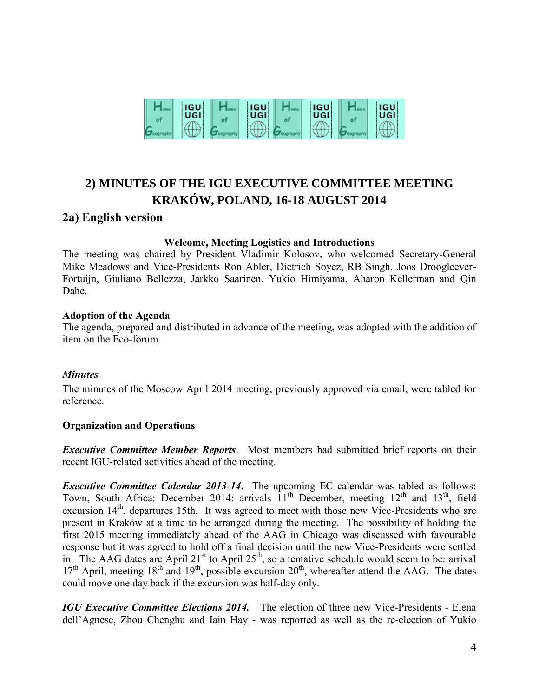

# **2) MINUTES OF THE IGU EXECUTIVE COMMITTEE MEETING KRAKÓW, POLAND, 16-18 AUGUST 2014**

# **2a) English version**

#### **Welcome, Meeting Logistics and Introductions**

The meeting was chaired by President Vladimir Kolosov, who welcomed Secretary-General Mike Meadows and Vice-Presidents Ron Abler, Dietrich Soyez, RB Singh, Joos Droogleever-Fortuijn, Giuliano Bellezza, Jarkko Saarinen, Yukio Himiyama, Aharon Kellerman and Qin Dahe.

### **Adoption of the Agenda**

The agenda, prepared and distributed in advance of the meeting, was adopted with the addition of item on the Eco-forum.

### *Minutes*

The minutes of the Moscow April 2014 meeting, previously approved via email, were tabled for reference.

### **Organization and Operations**

*Executive Committee Member Reports*. Most members had submitted brief reports on their recent IGU-related activities ahead of the meeting.

*Executive Committee Calendar 2013-14*. The upcoming EC calendar was tabled as follows: Town, South Africa: December 2014: arrivals  $11<sup>th</sup>$  December, meeting  $12<sup>th</sup>$  and  $13<sup>th</sup>$ , field excursion 14<sup>th</sup>, departures 15th. It was agreed to meet with those new Vice-Presidents who are present in Kraków at a time to be arranged during the meeting. The possibility of holding the first 2015 meeting immediately ahead of the AAG in Chicago was discussed with favourable response but it was agreed to hold off a final decision until the new Vice-Presidents were settled in. The AAG dates are April 21<sup>st</sup> to April 25<sup>th</sup>, so a tentative schedule would seem to be: arrival  $17<sup>th</sup>$  April, meeting  $18<sup>th</sup>$  and  $19<sup>th</sup>$ , possible excursion  $20<sup>th</sup>$ , whereafter attend the AAG. The dates could move one day back if the excursion was half-day only.

*IGU Executive Committee Elections 2014.* The election of three new Vice-Presidents - Elena dell'Agnese, Zhou Chenghu and Iain Hay - was reported as well as the re-election of Yukio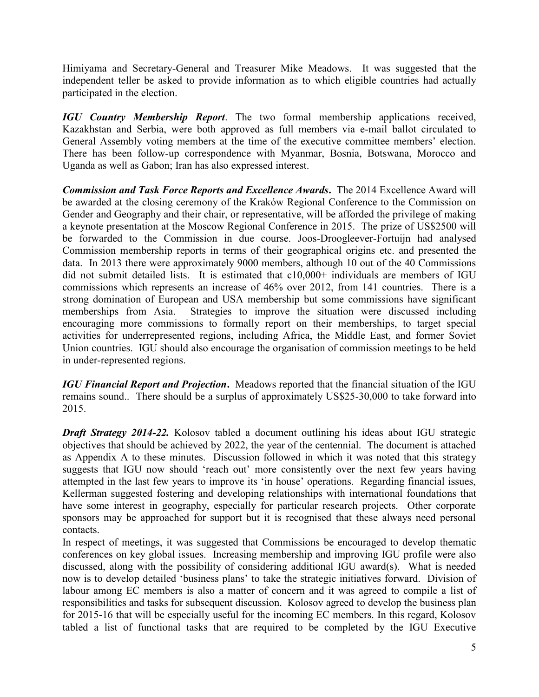Himiyama and Secretary-General and Treasurer Mike Meadows. It was suggested that the independent teller be asked to provide information as to which eligible countries had actually participated in the election.

*IGU Country Membership Report*. The two formal membership applications received, Kazakhstan and Serbia, were both approved as full members via e-mail ballot circulated to General Assembly voting members at the time of the executive committee members' election. There has been follow-up correspondence with Myanmar, Bosnia, Botswana, Morocco and Uganda as well as Gabon; Iran has also expressed interest.

*Commission and Task Force Reports and Excellence Awards***.** The 2014 Excellence Award will be awarded at the closing ceremony of the Kraków Regional Conference to the Commission on Gender and Geography and their chair, or representative, will be afforded the privilege of making a keynote presentation at the Moscow Regional Conference in 2015. The prize of US\$2500 will be forwarded to the Commission in due course. Joos-Droogleever-Fortuijn had analysed Commission membership reports in terms of their geographical origins etc. and presented the data. In 2013 there were approximately 9000 members, although 10 out of the 40 Commissions did not submit detailed lists. It is estimated that c10,000+ individuals are members of IGU commissions which represents an increase of 46% over 2012, from 141 countries. There is a strong domination of European and USA membership but some commissions have significant memberships from Asia. Strategies to improve the situation were discussed including encouraging more commissions to formally report on their memberships, to target special activities for underrepresented regions, including Africa, the Middle East, and former Soviet Union countries. IGU should also encourage the organisation of commission meetings to be held in under-represented regions.

*IGU Financial Report and Projection***.** Meadows reported that the financial situation of the IGU remains sound.. There should be a surplus of approximately US\$25-30,000 to take forward into 2015.

*Draft Strategy 2014-22.* Kolosov tabled a document outlining his ideas about IGU strategic objectives that should be achieved by 2022, the year of the centennial. The document is attached as Appendix A to these minutes. Discussion followed in which it was noted that this strategy suggests that IGU now should 'reach out' more consistently over the next few years having attempted in the last few years to improve its 'in house' operations. Regarding financial issues, Kellerman suggested fostering and developing relationships with international foundations that have some interest in geography, especially for particular research projects. Other corporate sponsors may be approached for support but it is recognised that these always need personal contacts.

In respect of meetings, it was suggested that Commissions be encouraged to develop thematic conferences on key global issues. Increasing membership and improving IGU profile were also discussed, along with the possibility of considering additional IGU award(s). What is needed now is to develop detailed 'business plans' to take the strategic initiatives forward. Division of labour among EC members is also a matter of concern and it was agreed to compile a list of responsibilities and tasks for subsequent discussion. Kolosov agreed to develop the business plan for 2015-16 that will be especially useful for the incoming EC members. In this regard, Kolosov tabled a list of functional tasks that are required to be completed by the IGU Executive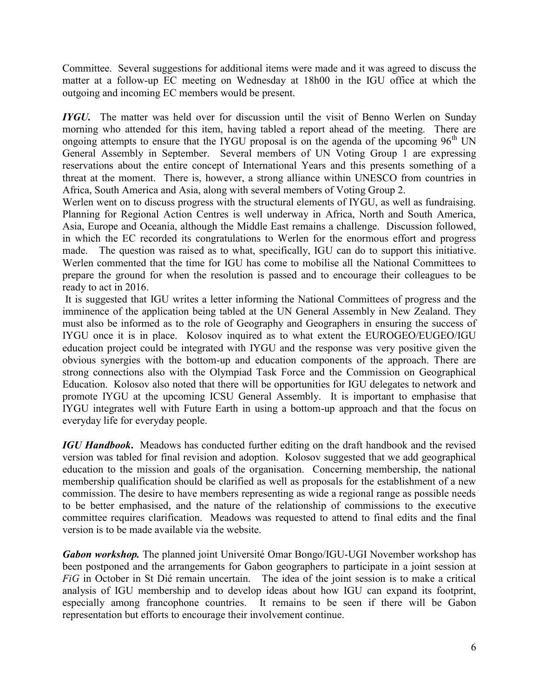Committee. Several suggestions for additional items were made and it was agreed to discuss the matter at a follow-up EC meeting on Wednesday at 18h00 in the IGU office at which the outgoing and incoming EC members would be present.

*IYGU*. The matter was held over for discussion until the visit of Benno Werlen on Sunday morning who attended for this item, having tabled a report ahead of the meeting. There are ongoing attempts to ensure that the IYGU proposal is on the agenda of the upcoming  $96<sup>th</sup> UN$ General Assembly in September. Several members of UN Voting Group 1 are expressing reservations about the entire concept of International Years and this presents something of a threat at the moment. There is, however, a strong alliance within UNESCO from countries in Africa, South America and Asia, along with several members of Voting Group 2.

Werlen went on to discuss progress with the structural elements of IYGU, as well as fundraising. Planning for Regional Action Centres is well underway in Africa, North and South America, Asia, Europe and Oceania, although the Middle East remains a challenge. Discussion followed, in which the EC recorded its congratulations to Werlen for the enormous effort and progress made. The question was raised as to what, specifically, IGU can do to support this initiative. Werlen commented that the time for IGU has come to mobilise all the National Committees to prepare the ground for when the resolution is passed and to encourage their colleagues to be ready to act in 2016.

It is suggested that IGU writes a letter informing the National Committees of progress and the imminence of the application being tabled at the UN General Assembly in New Zealand. They must also be informed as to the role of Geography and Geographers in ensuring the success of IYGU once it is in place. Kolosov inquired as to what extent the EUROGEO/EUGEO/IGU education project could be integrated with IYGU and the response was very positive given the obvious synergies with the bottom-up and education components of the approach. There are strong connections also with the Olympiad Task Force and the Commission on Geographical Education. Kolosov also noted that there will be opportunities for IGU delegates to network and promote IYGU at the upcoming ICSU General Assembly. It is important to emphasise that IYGU integrates well with Future Earth in using a bottom-up approach and that the focus on everyday life for everyday people.

*IGU Handbook***.** Meadows has conducted further editing on the draft handbook and the revised version was tabled for final revision and adoption. Kolosov suggested that we add geographical education to the mission and goals of the organisation. Concerning membership, the national membership qualification should be clarified as well as proposals for the establishment of a new commission. The desire to have members representing as wide a regional range as possible needs to be better emphasised, and the nature of the relationship of commissions to the executive committee requires clarification. Meadows was requested to attend to final edits and the final version is to be made available via the website.

*Gabon workshop.* The planned joint Université Omar Bongo/IGU-UGI November workshop has been postponed and the arrangements for Gabon geographers to participate in a joint session at *FiG* in October in St Dié remain uncertain. The idea of the joint session is to make a critical analysis of IGU membership and to develop ideas about how IGU can expand its footprint, especially among francophone countries. It remains to be seen if there will be Gabon representation but efforts to encourage their involvement continue.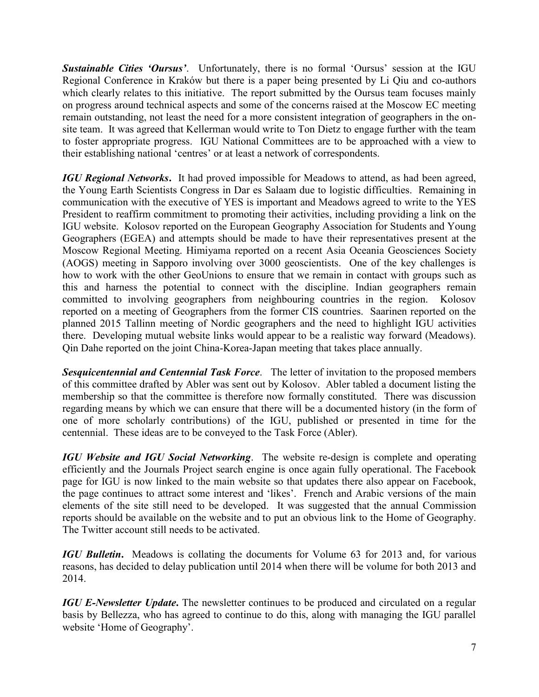**Sustainable Cities 'Oursus'.** Unfortunately, there is no formal 'Oursus' session at the IGU Regional Conference in Kraków but there is a paper being presented by Li Qiu and co-authors which clearly relates to this initiative. The report submitted by the Oursus team focuses mainly on progress around technical aspects and some of the concerns raised at the Moscow EC meeting remain outstanding, not least the need for a more consistent integration of geographers in the onsite team. It was agreed that Kellerman would write to Ton Dietz to engage further with the team to foster appropriate progress. IGU National Committees are to be approached with a view to their establishing national 'centres' or at least a network of correspondents.

*IGU Regional Networks***.** It had proved impossible for Meadows to attend, as had been agreed, the Young Earth Scientists Congress in Dar es Salaam due to logistic difficulties. Remaining in communication with the executive of YES is important and Meadows agreed to write to the YES President to reaffirm commitment to promoting their activities, including providing a link on the IGU website. Kolosov reported on the European Geography Association for Students and Young Geographers (EGEA) and attempts should be made to have their representatives present at the Moscow Regional Meeting. Himiyama reported on a recent Asia Oceania Geosciences Society (AOGS) meeting in Sapporo involving over 3000 geoscientists. One of the key challenges is how to work with the other GeoUnions to ensure that we remain in contact with groups such as this and harness the potential to connect with the discipline. Indian geographers remain committed to involving geographers from neighbouring countries in the region. Kolosov reported on a meeting of Geographers from the former CIS countries. Saarinen reported on the planned 2015 Tallinn meeting of Nordic geographers and the need to highlight IGU activities there. Developing mutual website links would appear to be a realistic way forward (Meadows). Qin Dahe reported on the joint China-Korea-Japan meeting that takes place annually.

*Sesquicentennial and Centennial Task Force*. The letter of invitation to the proposed members of this committee drafted by Abler was sent out by Kolosov. Abler tabled a document listing the membership so that the committee is therefore now formally constituted. There was discussion regarding means by which we can ensure that there will be a documented history (in the form of one of more scholarly contributions) of the IGU, published or presented in time for the centennial. These ideas are to be conveyed to the Task Force (Abler).

*IGU Website and IGU Social Networking*. The website re-design is complete and operating efficiently and the Journals Project search engine is once again fully operational. The Facebook page for IGU is now linked to the main website so that updates there also appear on Facebook, the page continues to attract some interest and 'likes'. French and Arabic versions of the main elements of the site still need to be developed. It was suggested that the annual Commission reports should be available on the website and to put an obvious link to the Home of Geography. The Twitter account still needs to be activated.

*IGU Bulletin***.** Meadows is collating the documents for Volume 63 for 2013 and, for various reasons, has decided to delay publication until 2014 when there will be volume for both 2013 and 2014.

*IGU E-Newsletter Update*. The newsletter continues to be produced and circulated on a regular basis by Bellezza, who has agreed to continue to do this, along with managing the IGU parallel website 'Home of Geography'.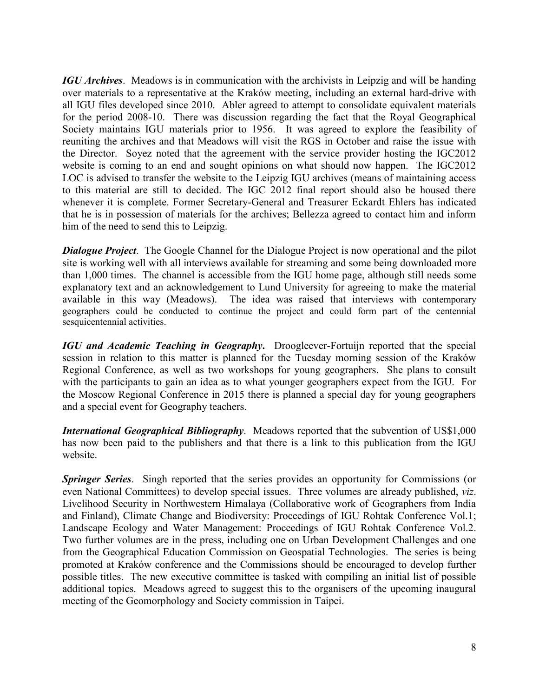*IGU Archives*. Meadows is in communication with the archivists in Leipzig and will be handing over materials to a representative at the Kraków meeting, including an external hard-drive with all IGU files developed since 2010. Abler agreed to attempt to consolidate equivalent materials for the period 2008-10. There was discussion regarding the fact that the Royal Geographical Society maintains IGU materials prior to 1956. It was agreed to explore the feasibility of reuniting the archives and that Meadows will visit the RGS in October and raise the issue with the Director. Soyez noted that the agreement with the service provider hosting the IGC2012 website is coming to an end and sought opinions on what should now happen. The IGC2012 LOC is advised to transfer the website to the Leipzig IGU archives (means of maintaining access to this material are still to decided. The IGC 2012 final report should also be housed there whenever it is complete. Former Secretary-General and Treasurer Eckardt Ehlers has indicated that he is in possession of materials for the archives; Bellezza agreed to contact him and inform him of the need to send this to Leipzig.

*Dialogue Project.* The Google Channel for the Dialogue Project is now operational and the pilot site is working well with all interviews available for streaming and some being downloaded more than 1,000 times. The channel is accessible from the IGU home page, although still needs some explanatory text and an acknowledgement to Lund University for agreeing to make the material available in this way (Meadows). The idea was raised that interviews with contemporary geographers could be conducted to continue the project and could form part of the centennial sesquicentennial activities.

*IGU and Academic Teaching in Geography***.** Droogleever-Fortuijn reported that the special session in relation to this matter is planned for the Tuesday morning session of the Kraków Regional Conference, as well as two workshops for young geographers. She plans to consult with the participants to gain an idea as to what younger geographers expect from the IGU. For the Moscow Regional Conference in 2015 there is planned a special day for young geographers and a special event for Geography teachers.

*International Geographical Bibliography*. Meadows reported that the subvention of US\$1,000 has now been paid to the publishers and that there is a link to this publication from the IGU website.

*Springer Series*. Singh reported that the series provides an opportunity for Commissions (or even National Committees) to develop special issues. Three volumes are already published, *viz*. Livelihood Security in Northwestern Himalaya (Collaborative work of Geographers from India and Finland), Climate Change and Biodiversity: Proceedings of IGU Rohtak Conference Vol.1; Landscape Ecology and Water Management: Proceedings of IGU Rohtak Conference Vol.2. Two further volumes are in the press, including one on Urban Development Challenges and one from the Geographical Education Commission on Geospatial Technologies. The series is being promoted at Kraków conference and the Commissions should be encouraged to develop further possible titles. The new executive committee is tasked with compiling an initial list of possible additional topics. Meadows agreed to suggest this to the organisers of the upcoming inaugural meeting of the Geomorphology and Society commission in Taipei.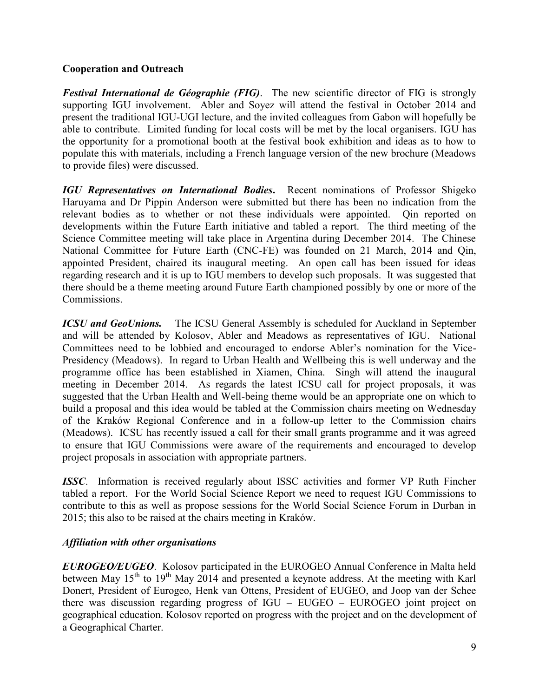#### **Cooperation and Outreach**

*Festival International de Géographie (FIG)*. The new scientific director of FIG is strongly supporting IGU involvement. Abler and Soyez will attend the festival in October 2014 and present the traditional IGU-UGI lecture, and the invited colleagues from Gabon will hopefully be able to contribute. Limited funding for local costs will be met by the local organisers. IGU has the opportunity for a promotional booth at the festival book exhibition and ideas as to how to populate this with materials, including a French language version of the new brochure (Meadows to provide files) were discussed.

*IGU Representatives on International Bodies***.** Recent nominations of Professor Shigeko Haruyama and Dr Pippin Anderson were submitted but there has been no indication from the relevant bodies as to whether or not these individuals were appointed. Qin reported on developments within the Future Earth initiative and tabled a report. The third meeting of the Science Committee meeting will take place in Argentina during December 2014. The Chinese National Committee for Future Earth (CNC-FE) was founded on 21 March, 2014 and Qin, appointed President, chaired its inaugural meeting. An open call has been issued for ideas regarding research and it is up to IGU members to develop such proposals. It was suggested that there should be a theme meeting around Future Earth championed possibly by one or more of the Commissions.

*ICSU and GeoUnions.* The ICSU General Assembly is scheduled for Auckland in September and will be attended by Kolosov, Abler and Meadows as representatives of IGU. National Committees need to be lobbied and encouraged to endorse Abler's nomination for the Vice-Presidency (Meadows). In regard to Urban Health and Wellbeing this is well underway and the programme office has been established in Xiamen, China. Singh will attend the inaugural meeting in December 2014. As regards the latest ICSU call for project proposals, it was suggested that the Urban Health and Well-being theme would be an appropriate one on which to build a proposal and this idea would be tabled at the Commission chairs meeting on Wednesday of the Kraków Regional Conference and in a follow-up letter to the Commission chairs (Meadows). ICSU has recently issued a call for their small grants programme and it was agreed to ensure that IGU Commissions were aware of the requirements and encouraged to develop project proposals in association with appropriate partners.

*ISSC*. Information is received regularly about ISSC activities and former VP Ruth Fincher tabled a report. For the World Social Science Report we need to request IGU Commissions to contribute to this as well as propose sessions for the World Social Science Forum in Durban in 2015; this also to be raised at the chairs meeting in Kraków.

### *Affiliation with other organisations*

*EUROGEO/EUGEO*. Kolosov participated in the EUROGEO Annual Conference in Malta held between May  $15<sup>th</sup>$  to  $19<sup>th</sup>$  May 2014 and presented a keynote address. At the meeting with Karl Donert, President of Eurogeo, Henk van Ottens, President of EUGEO, and Joop van der Schee there was discussion regarding progress of IGU – EUGEO – EUROGEO joint project on geographical education. Kolosov reported on progress with the project and on the development of a Geographical Charter.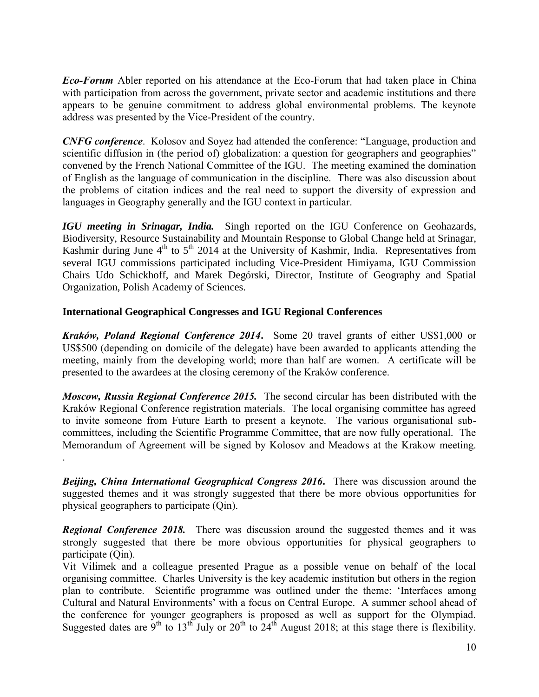*Eco-Forum* Abler reported on his attendance at the Eco-Forum that had taken place in China with participation from across the government, private sector and academic institutions and there appears to be genuine commitment to address global environmental problems. The keynote address was presented by the Vice-President of the country.

*CNFG conference*. Kolosov and Soyez had attended the conference: "Language, production and scientific diffusion in (the period of) globalization: a question for geographers and geographies" convened by the French National Committee of the IGU. The meeting examined the domination of English as the language of communication in the discipline. There was also discussion about the problems of citation indices and the real need to support the diversity of expression and languages in Geography generally and the IGU context in particular.

*IGU meeting in Srinagar, India.* Singh reported on the IGU Conference on Geohazards, Biodiversity, Resource Sustainability and Mountain Response to Global Change held at Srinagar, Kashmir during June  $4<sup>th</sup>$  to  $5<sup>th</sup>$  2014 at the University of Kashmir, India. Representatives from several IGU commissions participated including Vice-President Himiyama, IGU Commission Chairs Udo Schickhoff, and Marek Degórski, Director, Institute of Geography and Spatial Organization, Polish Academy of Sciences.

#### **International Geographical Congresses and IGU Regional Conferences**

.

*Kraków, Poland Regional Conference 2014***.** Some 20 travel grants of either US\$1,000 or US\$500 (depending on domicile of the delegate) have been awarded to applicants attending the meeting, mainly from the developing world; more than half are women. A certificate will be presented to the awardees at the closing ceremony of the Kraków conference.

*Moscow, Russia Regional Conference 2015.*The second circular has been distributed with the Kraków Regional Conference registration materials. The local organising committee has agreed to invite someone from Future Earth to present a keynote. The various organisational subcommittees, including the Scientific Programme Committee, that are now fully operational. The Memorandum of Agreement will be signed by Kolosov and Meadows at the Krakow meeting.

*Beijing, China International Geographical Congress 2016***.** There was discussion around the suggested themes and it was strongly suggested that there be more obvious opportunities for physical geographers to participate (Qin).

**Regional Conference 2018.** There was discussion around the suggested themes and it was strongly suggested that there be more obvious opportunities for physical geographers to participate (Qin).

Vit Vilimek and a colleague presented Prague as a possible venue on behalf of the local organising committee. Charles University is the key academic institution but others in the region plan to contribute. Scientific programme was outlined under the theme: 'Interfaces among Cultural and Natural Environments' with a focus on Central Europe. A summer school ahead of the conference for younger geographers is proposed as well as support for the Olympiad. Suggested dates are  $9^{th}$  to  $13^{th}$  July or  $20^{th}$  to  $24^{th}$  August 2018; at this stage there is flexibility.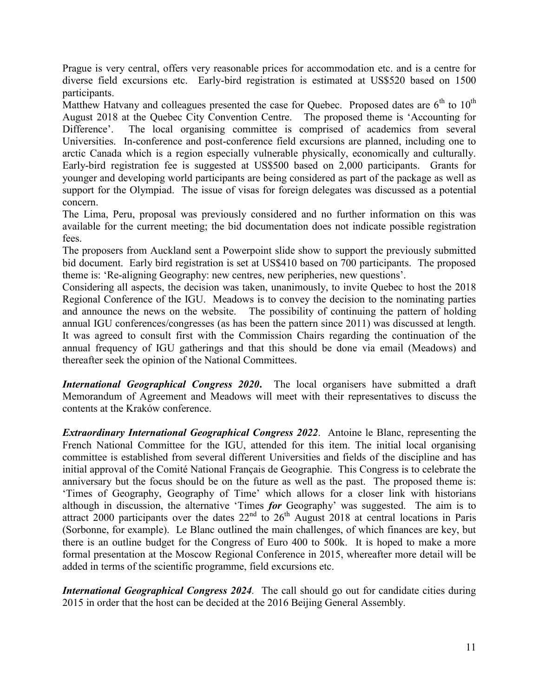Prague is very central, offers very reasonable prices for accommodation etc. and is a centre for diverse field excursions etc. Early-bird registration is estimated at US\$520 based on 1500 participants.

Matthew Hatvany and colleagues presented the case for Quebec. Proposed dates are  $6<sup>th</sup>$  to  $10<sup>th</sup>$ August 2018 at the Quebec City Convention Centre. The proposed theme is 'Accounting for Difference'. The local organising committee is comprised of academics from several Universities. In-conference and post-conference field excursions are planned, including one to arctic Canada which is a region especially vulnerable physically, economically and culturally. Early-bird registration fee is suggested at US\$500 based on 2,000 participants. Grants for younger and developing world participants are being considered as part of the package as well as support for the Olympiad. The issue of visas for foreign delegates was discussed as a potential concern.

The Lima, Peru, proposal was previously considered and no further information on this was available for the current meeting; the bid documentation does not indicate possible registration fees.

The proposers from Auckland sent a Powerpoint slide show to support the previously submitted bid document. Early bird registration is set at US\$410 based on 700 participants. The proposed theme is: 'Re-aligning Geography: new centres, new peripheries, new questions'.

Considering all aspects, the decision was taken, unanimously, to invite Quebec to host the 2018 Regional Conference of the IGU. Meadows is to convey the decision to the nominating parties and announce the news on the website. The possibility of continuing the pattern of holding annual IGU conferences/congresses (as has been the pattern since 2011) was discussed at length. It was agreed to consult first with the Commission Chairs regarding the continuation of the annual frequency of IGU gatherings and that this should be done via email (Meadows) and thereafter seek the opinion of the National Committees.

*International Geographical Congress 2020*. The local organisers have submitted a draft Memorandum of Agreement and Meadows will meet with their representatives to discuss the contents at the Kraków conference.

*Extraordinary International Geographical Congress 2022*. Antoine le Blanc, representing the French National Committee for the IGU, attended for this item. The initial local organising committee is established from several different Universities and fields of the discipline and has initial approval of the Comité National Français de Geographie. This Congress is to celebrate the anniversary but the focus should be on the future as well as the past. The proposed theme is: 'Times of Geography, Geography of Time' which allows for a closer link with historians although in discussion, the alternative 'Times *for* Geography' was suggested. The aim is to attract 2000 participants over the dates  $22<sup>nd</sup>$  to  $26<sup>th</sup>$  August 2018 at central locations in Paris (Sorbonne, for example). Le Blanc outlined the main challenges, of which finances are key, but there is an outline budget for the Congress of Euro 400 to 500k. It is hoped to make a more formal presentation at the Moscow Regional Conference in 2015, whereafter more detail will be added in terms of the scientific programme, field excursions etc.

*International Geographical Congress 2024.* The call should go out for candidate cities during 2015 in order that the host can be decided at the 2016 Beijing General Assembly.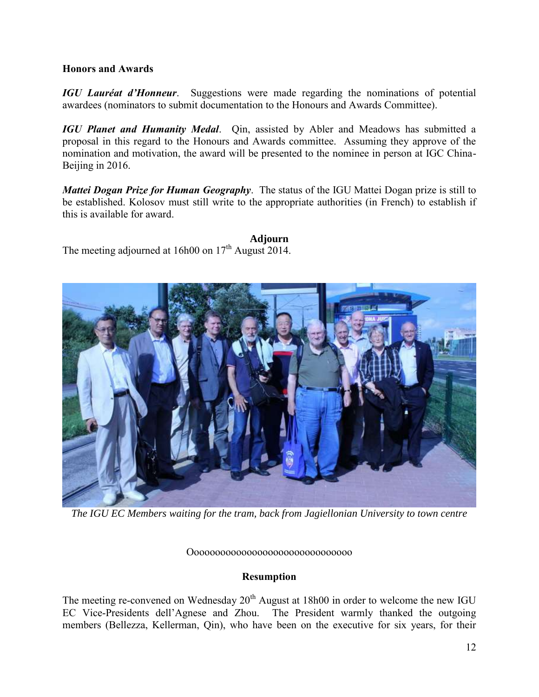#### **Honors and Awards**

*IGU Lauréat d'Honneur*. Suggestions were made regarding the nominations of potential awardees (nominators to submit documentation to the Honours and Awards Committee).

*IGU Planet and Humanity Medal*. Qin, assisted by Abler and Meadows has submitted a proposal in this regard to the Honours and Awards committee. Assuming they approve of the nomination and motivation, the award will be presented to the nominee in person at IGC China-Beijing in 2016.

*Mattei Dogan Prize for Human Geography*. The status of the IGU Mattei Dogan prize is still to be established. Kolosov must still write to the appropriate authorities (in French) to establish if this is available for award.

#### **Adjourn**

The meeting adjourned at 16h00 on  $17<sup>th</sup>$  August 2014.



*The IGU EC Members waiting for the tram, back from Jagiellonian University to town centre*

Ooooooooooooooooooooooooooooooo

### **Resumption**

The meeting re-convened on Wednesday  $20<sup>th</sup>$  August at 18h00 in order to welcome the new IGU EC Vice-Presidents dell'Agnese and Zhou. The President warmly thanked the outgoing members (Bellezza, Kellerman, Qin), who have been on the executive for six years, for their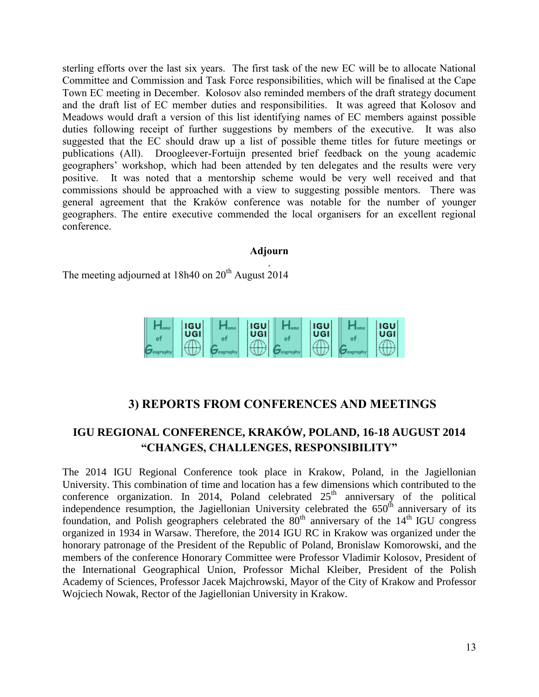sterling efforts over the last six years. The first task of the new EC will be to allocate National Committee and Commission and Task Force responsibilities, which will be finalised at the Cape Town EC meeting in December. Kolosov also reminded members of the draft strategy document and the draft list of EC member duties and responsibilities. It was agreed that Kolosov and Meadows would draft a version of this list identifying names of EC members against possible duties following receipt of further suggestions by members of the executive. It was also suggested that the EC should draw up a list of possible theme titles for future meetings or publications (All). Droogleever-Fortuijn presented brief feedback on the young academic geographers' workshop, which had been attended by ten delegates and the results were very positive. It was noted that a mentorship scheme would be very well received and that commissions should be approached with a view to suggesting possible mentors. There was general agreement that the Kraków conference was notable for the number of younger geographers. The entire executive commended the local organisers for an excellent regional conference.

### **Adjourn**

. The meeting adjourned at 18h40 on  $20<sup>th</sup>$  August 2014

| <b>IGU</b><br>UGI | <b>IGU</b><br>UGI | <b>IGU</b><br>UGI | <b>IGU</b><br>UGI |
|-------------------|-------------------|-------------------|-------------------|
|                   |                   |                   |                   |

# **3) REPORTS FROM CONFERENCES AND MEETINGS**

# **IGU REGIONAL CONFERENCE, KRAKÓW, POLAND, 16-18 AUGUST 2014 "CHANGES, CHALLENGES, RESPONSIBILITY"**

The 2014 IGU Regional Conference took place in Krakow, Poland, in the Jagiellonian University. This combination of time and location has a few dimensions which contributed to the conference organization. In 2014, Poland celebrated  $25<sup>th</sup>$  anniversary of the political independence resumption, the Jagiellonian University celebrated the  $650<sup>th</sup>$  anniversary of its foundation, and Polish geographers celebrated the  $80<sup>th</sup>$  anniversary of the 14<sup>th</sup> IGU congress organized in 1934 in Warsaw. Therefore, the 2014 IGU RC in Krakow was organized under the honorary patronage of the President of the Republic of Poland, Bronislaw Komorowski, and the members of the conference Honorary Committee were Professor Vladimir Kolosov, President of the International Geographical Union, Professor Michal Kleiber, President of the Polish Academy of Sciences, Professor Jacek Majchrowski, Mayor of the City of Krakow and Professor Wojciech Nowak, Rector of the Jagiellonian University in Krakow.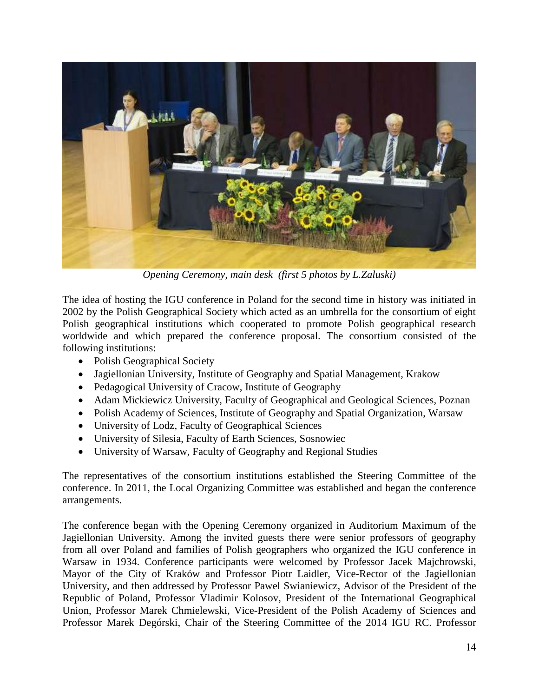

*Opening Ceremony, main desk (first 5 photos by L.Zaluski)*

The idea of hosting the IGU conference in Poland for the second time in history was initiated in 2002 by the Polish Geographical Society which acted as an umbrella for the consortium of eight Polish geographical institutions which cooperated to promote Polish geographical research worldwide and which prepared the conference proposal. The consortium consisted of the following institutions:

- Polish Geographical Society
- Jagiellonian University, Institute of Geography and Spatial Management, Krakow
- Pedagogical University of Cracow, Institute of Geography
- Adam Mickiewicz University, Faculty of Geographical and Geological Sciences, Poznan
- Polish Academy of Sciences, Institute of Geography and Spatial Organization, Warsaw
- University of Lodz, Faculty of Geographical Sciences
- University of Silesia, Faculty of Earth Sciences, Sosnowiec
- University of Warsaw, Faculty of Geography and Regional Studies

The representatives of the consortium institutions established the Steering Committee of the conference. In 2011, the Local Organizing Committee was established and began the conference arrangements.

The conference began with the Opening Ceremony organized in Auditorium Maximum of the Jagiellonian University. Among the invited guests there were senior professors of geography from all over Poland and families of Polish geographers who organized the IGU conference in Warsaw in 1934. Conference participants were welcomed by Professor Jacek Majchrowski, Mayor of the City of Kraków and Professor Piotr Laidler, Vice-Rector of the Jagiellonian University, and then addressed by Professor Pawel Swianiewicz, Advisor of the President of the Republic of Poland, Professor Vladimir Kolosov, President of the International Geographical Union, Professor Marek Chmielewski, Vice-President of the Polish Academy of Sciences and Professor Marek Degórski, Chair of the Steering Committee of the 2014 IGU RC. Professor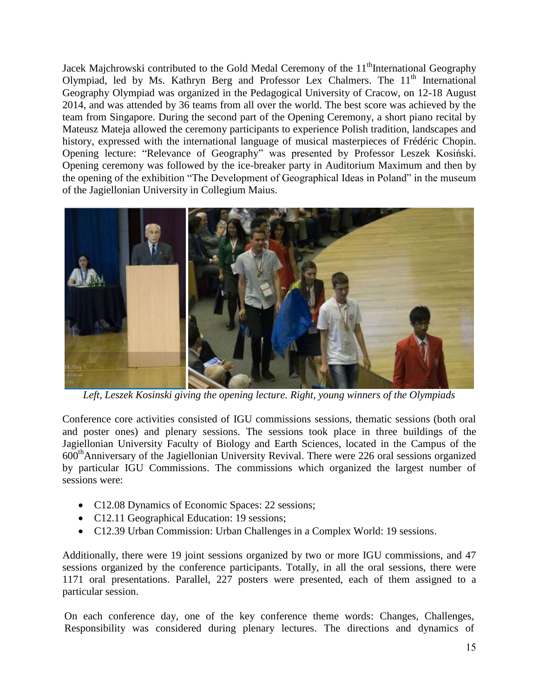Jacek Majchrowski contributed to the Gold Medal Ceremony of the  $11<sup>th</sup>$ International Geography Olympiad, led by Ms. Kathryn Berg and Professor Lex Chalmers. The  $11<sup>th</sup>$  International Geography Olympiad was organized in the Pedagogical University of Cracow, on 12-18 August 2014, and was attended by 36 teams from all over the world. The best score was achieved by the team from Singapore. During the second part of the Opening Ceremony, a short piano recital by Mateusz Mateja allowed the ceremony participants to experience Polish tradition, landscapes and history, expressed with the international language of musical masterpieces of Frédéric Chopin. Opening lecture: "Relevance of Geography" was presented by Professor Leszek Kosiński. Opening ceremony was followed by the ice-breaker party in Auditorium Maximum and then by the opening of the exhibition "The Development of Geographical Ideas in Poland" in the museum of the Jagiellonian University in Collegium Maius.



*Left, Leszek Kosinski giving the opening lecture. Right, young winners of the Olympiads*

Conference core activities consisted of IGU commissions sessions, thematic sessions (both oral and poster ones) and plenary sessions. The sessions took place in three buildings of the Jagiellonian University Faculty of Biology and Earth Sciences, located in the Campus of the 600thAnniversary of the Jagiellonian University Revival. There were 226 oral sessions organized by particular IGU Commissions. The commissions which organized the largest number of sessions were:

- C12.08 Dynamics of Economic Spaces: 22 sessions;
- C12.11 Geographical Education: 19 sessions;
- C12.39 Urban Commission: Urban Challenges in a Complex World: 19 sessions.

Additionally, there were 19 joint sessions organized by two or more IGU commissions, and 47 sessions organized by the conference participants. Totally, in all the oral sessions, there were 1171 oral presentations. Parallel, 227 posters were presented, each of them assigned to a particular session.

On each conference day, one of the key conference theme words: Changes, Challenges, Responsibility was considered during plenary lectures. The directions and dynamics of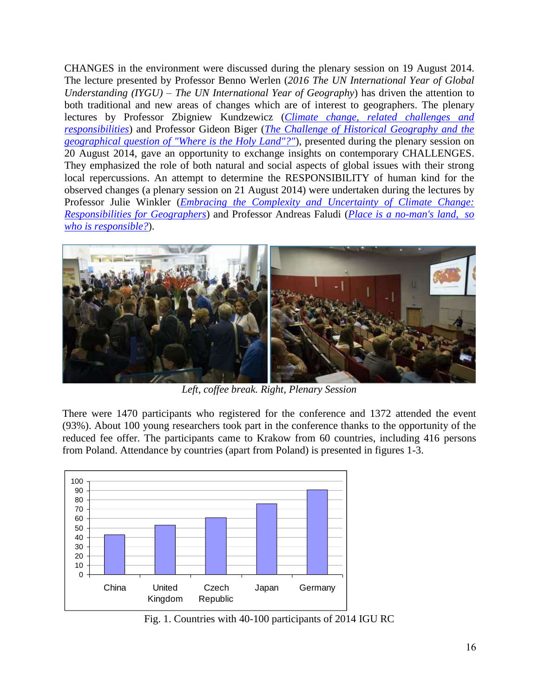CHANGES in the environment were discussed during the plenary session on 19 August 2014. The lecture presented by Professor Benno Werlen (*2016 The UN International Year of Global Understanding (IYGU) – The UN International Year of Geography*) has driven the attention to both traditional and new areas of changes which are of interest to geographers. The plenary lectures by Professor Zbigniew Kundzewicz (*[Climate change, related challenges and](file:///C:/Users/Giuliano.MASTER-PC/AppData/Local/Microsoft/Windows/Temporary%20Internet%20Files/Content.Outlook/igu2014/pdf/Plenary/IGU_2014_plenary_kundzewicz.pdf)  [responsibilities](file:///C:/Users/Giuliano.MASTER-PC/AppData/Local/Microsoft/Windows/Temporary%20Internet%20Files/Content.Outlook/igu2014/pdf/Plenary/IGU_2014_plenary_kundzewicz.pdf)*) and Professor Gideon Biger (*[The Challenge of Historical Geography and the](file:///C:/Users/Giuliano.MASTER-PC/AppData/Local/Microsoft/Windows/Temporary%20Internet%20Files/Content.Outlook/igu2014/pdf/Plenary/IGU_2014_plenary_biger.pdf)  [geographical question of "Where is the Holy Land"?"](file:///C:/Users/Giuliano.MASTER-PC/AppData/Local/Microsoft/Windows/Temporary%20Internet%20Files/Content.Outlook/igu2014/pdf/Plenary/IGU_2014_plenary_biger.pdf)*), presented during the plenary session on 20 August 2014, gave an opportunity to exchange insights on contemporary CHALLENGES. They emphasized the role of both natural and social aspects of global issues with their strong local repercussions. An attempt to determine the RESPONSIBILITY of human kind for the observed changes (a plenary session on 21 August 2014) were undertaken during the lectures by Professor Julie Winkler (*[Embracing the Complexity and Uncertainty of Climate Change:](file:///C:/Users/Giuliano.MASTER-PC/AppData/Local/Microsoft/Windows/Temporary%20Internet%20Files/Content.Outlook/igu2014/pdf/Plenary/IGU_2014_plenary_winkler.pdf)  [Responsibilities for Geographers](file:///C:/Users/Giuliano.MASTER-PC/AppData/Local/Microsoft/Windows/Temporary%20Internet%20Files/Content.Outlook/igu2014/pdf/Plenary/IGU_2014_plenary_winkler.pdf)*) and Professor Andreas Faludi (*[Place is a no-man's land,](file:///C:/Users/Giuliano.MASTER-PC/AppData/Local/Microsoft/Windows/Temporary%20Internet%20Files/Content.Outlook/igu2014/pdf/Plenary/IGU_2014_plenary_faludi.pdf) so [who is responsible?](file:///C:/Users/Giuliano.MASTER-PC/AppData/Local/Microsoft/Windows/Temporary%20Internet%20Files/Content.Outlook/igu2014/pdf/Plenary/IGU_2014_plenary_faludi.pdf)*).



*Left, coffee break. Right, Plenary Session*

There were 1470 participants who registered for the conference and 1372 attended the event (93%). About 100 young researchers took part in the conference thanks to the opportunity of the reduced fee offer. The participants came to Krakow from 60 countries, including 416 persons from Poland. Attendance by countries (apart from Poland) is presented in figures 1-3.



Fig. 1. Countries with 40-100 participants of 2014 IGU RC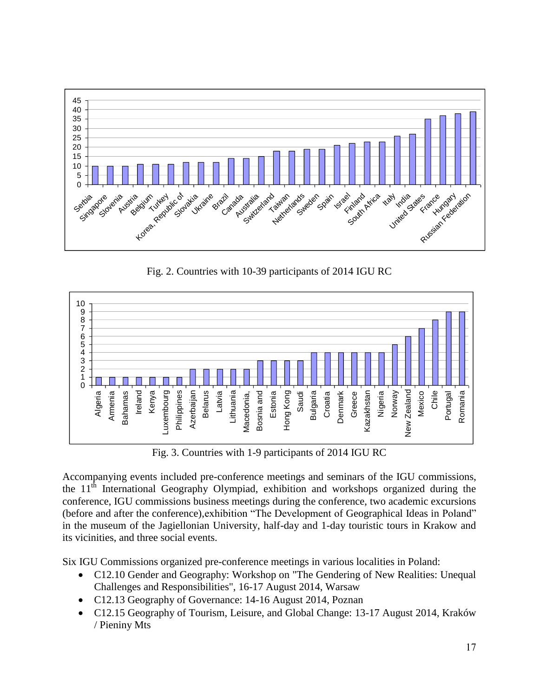

Fig. 2. Countries with 10-39 participants of 2014 IGU RC



Fig. 3. Countries with 1-9 participants of 2014 IGU RC

Accompanying events included pre-conference meetings and seminars of the IGU commissions, the 11<sup>th</sup> International Geography Olympiad, exhibition and workshops organized during the conference, IGU commissions business meetings during the conference, two academic excursions (before and after the conference),exhibition "The Development of Geographical Ideas in Poland" in the museum of the Jagiellonian University, half-day and 1-day touristic tours in Krakow and its vicinities, and three social events.

Six IGU Commissions organized pre-conference meetings in various localities in Poland:

- C12.10 Gender and Geography: Workshop on "The Gendering of New Realities: Unequal Challenges and Responsibilities", 16-17 August 2014, Warsaw
- C12.13 Geography of Governance: 14-16 August 2014, Poznan
- C12.15 Geography of Tourism, Leisure, and Global Change: 13-17 August 2014, Kraków / Pieniny Mts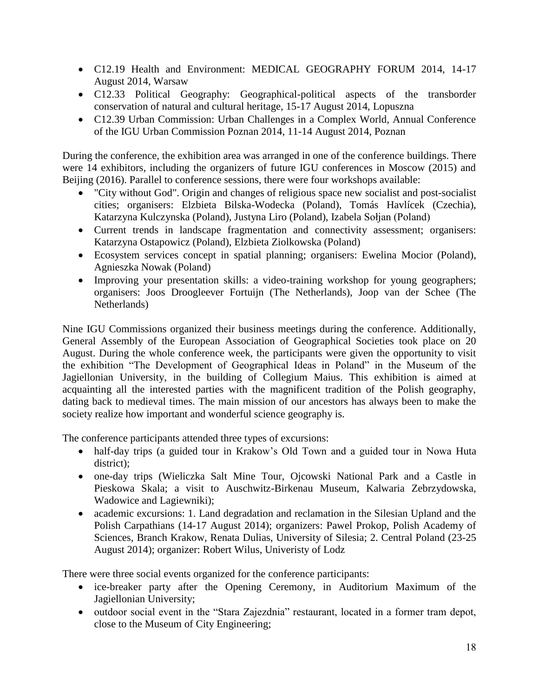- C12.19 Health and Environment: MEDICAL GEOGRAPHY FORUM 2014, 14-17 August 2014, Warsaw
- C12.33 Political Geography: Geographical-political aspects of the transborder conservation of natural and cultural heritage, 15-17 August 2014, Lopuszna
- C12.39 Urban Commission: Urban Challenges in a Complex World, Annual Conference of the IGU Urban Commission Poznan 2014, 11-14 August 2014, Poznan

During the conference, the exhibition area was arranged in one of the conference buildings. There were 14 exhibitors, including the organizers of future IGU conferences in Moscow (2015) and Beijing (2016). Parallel to conference sessions, there were four workshops available:

- "City without God". Origin and changes of religious space new socialist and post-socialist cities; organisers: Elzbieta Bilska-Wodecka (Poland), Tomás Havlícek (Czechia), Katarzyna Kulczynska (Poland), Justyna Liro (Poland), Izabela Sołjan (Poland)
- Current trends in landscape fragmentation and connectivity assessment; organisers: Katarzyna Ostapowicz (Poland), Elzbieta Ziolkowska (Poland)
- Ecosystem services concept in spatial planning; organisers: Ewelina Mocior (Poland), Agnieszka Nowak (Poland)
- Improving your presentation skills: a video-training workshop for young geographers; organisers: Joos Droogleever Fortuijn (The Netherlands), Joop van der Schee (The Netherlands)

Nine IGU Commissions organized their business meetings during the conference. Additionally, General Assembly of the European Association of Geographical Societies took place on 20 August. During the whole conference week, the participants were given the opportunity to visit the exhibition "The Development of Geographical Ideas in Poland" in the Museum of the Jagiellonian University, in the building of Collegium Maius. This exhibition is aimed at acquainting all the interested parties with the magnificent tradition of the Polish geography, dating back to medieval times. The main mission of our ancestors has always been to make the society realize how important and wonderful science geography is.

The conference participants attended three types of excursions:

- half-day trips (a guided tour in Krakow's Old Town and a guided tour in Nowa Huta district);
- one-day trips (Wieliczka Salt Mine Tour, Ojcowski National Park and a Castle in Pieskowa Skala; a visit to Auschwitz-Birkenau Museum, Kalwaria Zebrzydowska, Wadowice and Lagiewniki);
- academic excursions: 1. Land degradation and reclamation in the Silesian Upland and the Polish Carpathians (14-17 August 2014); organizers: Pawel Prokop, Polish Academy of Sciences, Branch Krakow, Renata Dulias, University of Silesia; 2. Central Poland (23-25 August 2014); organizer: Robert Wilus, Univeristy of Lodz

There were three social events organized for the conference participants:

- ice-breaker party after the Opening Ceremony, in Auditorium Maximum of the Jagiellonian University;
- outdoor social event in the "Stara Zajezdnia" restaurant, located in a former tram depot, close to the Museum of City Engineering;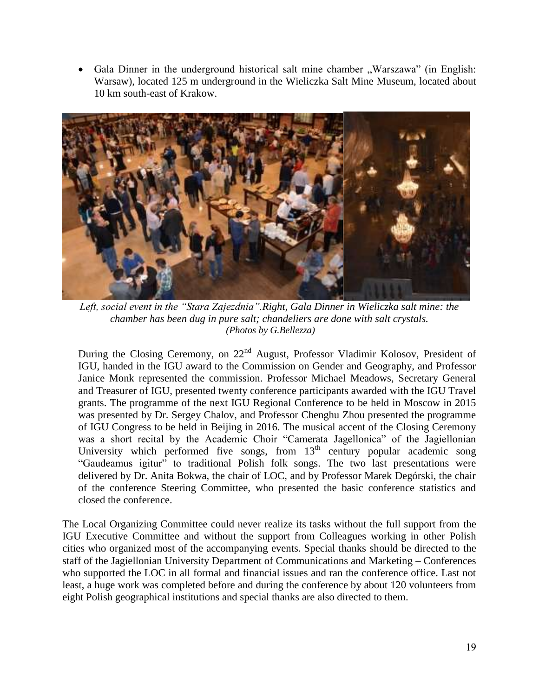Gala Dinner in the underground historical salt mine chamber "Warszawa" (in English: Warsaw), located 125 m underground in the Wieliczka Salt Mine Museum, located about 10 km south-east of Krakow.



*Left, social event in the "Stara Zajezdnia".Right, Gala Dinner in Wieliczka salt mine: the chamber has been dug in pure salt; chandeliers are done with salt crystals. (Photos by G.Bellezza)*

During the Closing Ceremony, on 22<sup>nd</sup> August, Professor Vladimir Kolosov, President of IGU, handed in the IGU award to the Commission on Gender and Geography, and Professor Janice Monk represented the commission. Professor Michael Meadows, Secretary General and Treasurer of IGU, presented twenty conference participants awarded with the IGU Travel grants. The programme of the next IGU Regional Conference to be held in Moscow in 2015 was presented by Dr. Sergey Chalov, and Professor Chenghu Zhou presented the programme of IGU Congress to be held in Beijing in 2016. The musical accent of the Closing Ceremony was a short recital by the Academic Choir "Camerata Jagellonica" of the Jagiellonian University which performed five songs, from  $13<sup>th</sup>$  century popular academic song "Gaudeamus igitur" to traditional Polish folk songs. The two last presentations were delivered by Dr. Anita Bokwa, the chair of LOC, and by Professor Marek Degórski, the chair of the conference Steering Committee, who presented the basic conference statistics and closed the conference.

The Local Organizing Committee could never realize its tasks without the full support from the IGU Executive Committee and without the support from Colleagues working in other Polish cities who organized most of the accompanying events. Special thanks should be directed to the staff of the Jagiellonian University Department of Communications and Marketing – Conferences who supported the LOC in all formal and financial issues and ran the conference office. Last not least, a huge work was completed before and during the conference by about 120 volunteers from eight Polish geographical institutions and special thanks are also directed to them.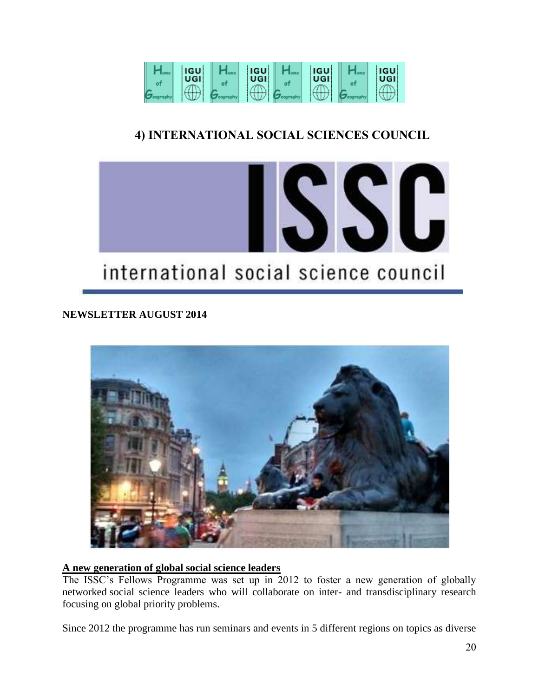

# **4) INTERNATIONAL SOCIAL SCIENCES COUNCIL**



# **NEWSLETTER AUGUST 2014**



### **A new generation of global social science leaders**

The ISSC's Fellows Programme was set up in 2012 to foster a new generation of globally networked social science leaders who will collaborate on inter- and transdisciplinary research focusing on global priority problems.

Since 2012 the programme has run seminars and events in 5 different regions on topics as diverse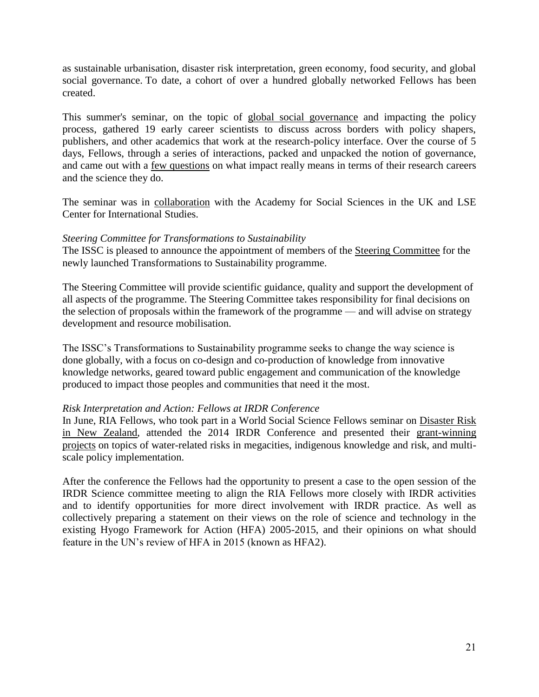as sustainable urbanisation, disaster risk interpretation, green economy, food security, and global social governance. To date, a cohort of over a hundred globally networked Fellows has been created.

This summer's seminar, on the topic of [global social governance](http://worldsocialscience.us7.list-manage.com/track/click?u=dc5c70c5a27af763c6e19ec99&id=a1547b85d5&e=52409fdf8f) and impacting the policy process, gathered 19 early career scientists to discuss across borders with policy shapers, publishers, and other academics that work at the research-policy interface. Over the course of 5 days, Fellows, through a series of interactions, packed and unpacked the notion of governance, and came out with a [few questions](http://worldsocialscience.us7.list-manage1.com/track/click?u=dc5c70c5a27af763c6e19ec99&id=8e97fcbb6b&e=52409fdf8f) on what impact really means in terms of their research careers and the science they do.

The seminar was in [collaboration](http://worldsocialscience.us7.list-manage2.com/track/click?u=dc5c70c5a27af763c6e19ec99&id=f24760a6e3&e=52409fdf8f) with the Academy for Social Sciences in the UK and LSE Center for International Studies.

#### *Steering Committee for Transformations to Sustainability*

The ISSC is pleased to announce the appointment of members of the [Steering Committee](http://worldsocialscience.us7.list-manage.com/track/click?u=dc5c70c5a27af763c6e19ec99&id=7314fc4876&e=52409fdf8f) for the newly launched Transformations to Sustainability programme.

The Steering Committee will provide scientific guidance, quality and support the development of all aspects of the programme. The Steering Committee takes responsibility for final decisions on the selection of proposals within the framework of the programme — and will advise on strategy development and resource mobilisation.

The ISSC's Transformations to Sustainability programme seeks to change the way science is done globally, with a focus on co-design and co-production of knowledge from innovative knowledge networks, geared toward public engagement and communication of the knowledge produced to impact those peoples and communities that need it the most.

#### *Risk Interpretation and Action: Fellows at IRDR Conference*

In June, RIA Fellows, who took part in a World Social Science Fellows seminar on [Disaster Risk](http://worldsocialscience.us7.list-manage1.com/track/click?u=dc5c70c5a27af763c6e19ec99&id=9a08f9755c&e=52409fdf8f)  [in New Zealand,](http://worldsocialscience.us7.list-manage1.com/track/click?u=dc5c70c5a27af763c6e19ec99&id=9a08f9755c&e=52409fdf8f) attended the 2014 IRDR Conference and presented their [grant-winning](http://worldsocialscience.us7.list-manage.com/track/click?u=dc5c70c5a27af763c6e19ec99&id=6be1731ccc&e=52409fdf8f)  [projects](http://worldsocialscience.us7.list-manage.com/track/click?u=dc5c70c5a27af763c6e19ec99&id=6be1731ccc&e=52409fdf8f) on topics of water-related risks in megacities, indigenous knowledge and risk, and multiscale policy implementation.

After the conference the Fellows had the opportunity to present a case to the open session of the IRDR Science committee meeting to align the RIA Fellows more closely with IRDR activities and to identify opportunities for more direct involvement with IRDR practice. As well as collectively preparing a statement on their views on the role of science and technology in the existing Hyogo Framework for Action (HFA) 2005-2015, and their opinions on what should feature in the UN's review of HFA in 2015 (known as HFA2).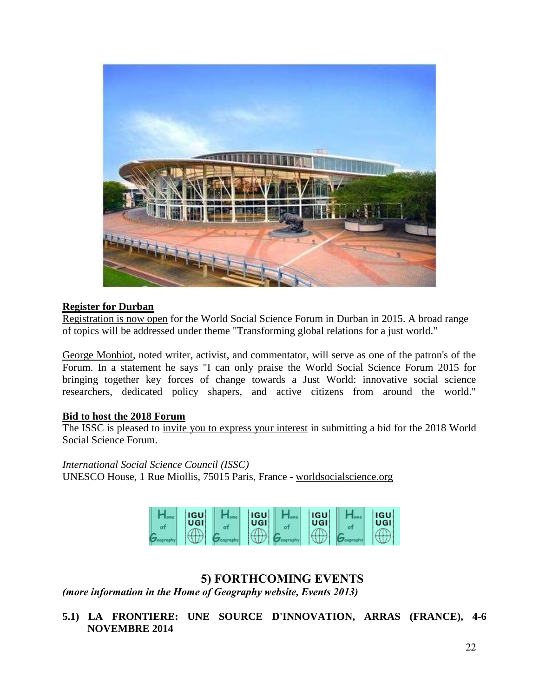

#### **Register for Durban**

[Registration is now open](http://worldsocialscience.us7.list-manage.com/track/click?u=dc5c70c5a27af763c6e19ec99&id=ac270f757b&e=52409fdf8f) for the World Social Science Forum in Durban in 2015. A broad range of topics will be addressed under theme "Transforming global relations for a just world."

[George Monbiot,](http://worldsocialscience.us7.list-manage.com/track/click?u=dc5c70c5a27af763c6e19ec99&id=016d76ddbe&e=52409fdf8f) noted writer, activist, and commentator, will serve as one of the patron's of the Forum. In a statement he says "I can only praise the World Social Science Forum 2015 for bringing together key forces of change towards a Just World: innovative social science researchers, dedicated policy shapers, and active citizens from around the world."

### **Bid to host the 2018 Forum**

The ISSC is pleased to [invite you to express your interest](http://worldsocialscience.us7.list-manage1.com/track/click?u=dc5c70c5a27af763c6e19ec99&id=70ed7a77c2&e=52409fdf8f) in submitting a bid for the 2018 World Social Science Forum.

*International Social Science Council (ISSC)* UNESCO House, 1 Rue Miollis, 75015 Paris, France - [worldsocialscience.org](http://www.worldsocialscience.org/)



# **5) FORTHCOMING EVENTS**

*(more information in the Home of Geography website, Events 2013)*

**5.1) LA FRONTIERE: UNE SOURCE D'INNOVATION, ARRAS (FRANCE), 4-6 NOVEMBRE 2014**